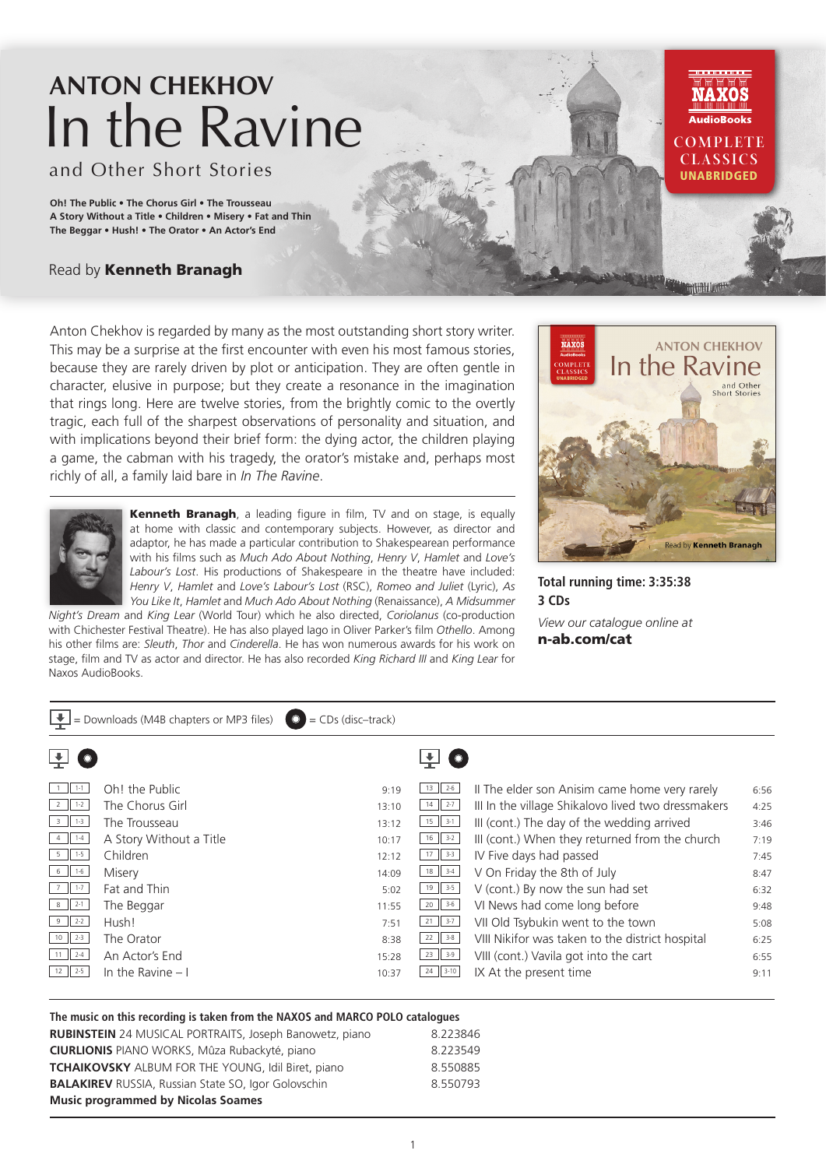# **ANTON CHEKHOV** In the Ravine

and Other Short Stories

**Oh! The Public • The Chorus Girl • The Trousseau A Story Without a Title • Children • Misery • Fat and Thin The Beggar • Hush! • The Orator • An Actor's End**

## Read by Kenneth Branagh

Anton Chekhov is regarded by many as the most outstanding short story writer. This may be a surprise at the first encounter with even his most famous stories, because they are rarely driven by plot or anticipation. They are often gentle in character, elusive in purpose; but they create a resonance in the imagination that rings long. Here are twelve stories, from the brightly comic to the overtly tragic, each full of the sharpest observations of personality and situation, and with implications beyond their brief form: the dying actor, the children playing a game, the cabman with his tragedy, the orator's mistake and, perhaps most richly of all, a family laid bare in *In The Ravine*.



Kenneth Branagh, a leading figure in film, TV and on stage, is equally at home with classic and contemporary subjects. However, as director and adaptor, he has made a particular contribution to Shakespearean performance with his films such as *Much Ado About Nothing*, *Henry V*, *Hamlet* and *Love's Labour's Lost*. His productions of Shakespeare in the theatre have included: *Henry V*, *Hamlet* and *Love's Labour's Lost* (RSC), *Romeo and Juliet* (Lyric), *As You Like It*, *Hamlet* and *Much Ado About Nothing* (Renaissance), *A Midsummer* 

*Night's Dream* and *King Lear* (World Tour) which he also directed, *Coriolanus* (co-production with Chichester Festival Theatre). He has also played Iago in Oliver Parker's film *Othello*. Among his other films are: *Sleuth*, *Thor* and *Cinderella*. He has won numerous awards for his work on stage, film and TV as actor and director. He has also recorded *King Richard III* and *King Lear* for Naxos AudioBooks.



**COMPLETE CLASSICS UNABRIDGED** 

**Total running time: 3:35:38 3 CDs**

*View our catalogue online at* n-ab.com/cat

| $\Box$ = Downloads (M4B chapters or MP3 files)<br>$\bullet$<br>$=$ CDs (disc-track) |                         |       |               |                                                    |      |  |  |  |  |
|-------------------------------------------------------------------------------------|-------------------------|-------|---------------|----------------------------------------------------|------|--|--|--|--|
|                                                                                     |                         |       |               |                                                    |      |  |  |  |  |
| $1 - 1 - 1$                                                                         | Oh! the Public          | 9:19  | $13 \mid 2.6$ | Il The elder son Anisim came home very rarely      | 6:56 |  |  |  |  |
| $2 \mid 1-2 \mid$                                                                   | The Chorus Girl         | 13:10 | $14$   2-7    | III In the village Shikalovo lived two dressmakers | 4:25 |  |  |  |  |
| $1-3$<br>$\overline{3}$                                                             | The Trousseau           | 13:12 | $15$    3-1   | III (cont.) The day of the wedding arrived         | 3:46 |  |  |  |  |
| $1 - 4$                                                                             | A Story Without a Title | 10:17 | $16$   $3-2$  | III (cont.) When they returned from the church     | 7:19 |  |  |  |  |
| $5 \parallel 1.5$                                                                   | Children                | 12:12 | $17$ 3-3      | IV Five days had passed                            | 7:45 |  |  |  |  |
| $6 \mid 1.6$                                                                        | Misery                  | 14:09 | $18$ 3-4      | V On Friday the 8th of July                        | 8:47 |  |  |  |  |
| $1 - 7$                                                                             | Fat and Thin            | 5:02  | $19$ 3-5      | V (cont.) By now the sun had set                   | 6:32 |  |  |  |  |
| $\parallel$ 2-1<br>8                                                                | The Beggar              | 11:55 | $20$ 3-6      | VI News had come long before                       | 9:48 |  |  |  |  |
| $9$ 2-2                                                                             | Hush!                   | 7:51  | $21$ 3-7      | VII Old Tsybukin went to the town                  | 5:08 |  |  |  |  |
| $10$ 2-3                                                                            | The Orator              | 8:38  | $22$ 3-8      | VIII Nikifor was taken to the district hospital    | 6:25 |  |  |  |  |
| $11$   2-4                                                                          | An Actor's End          | 15:28 | $23$ 3-9      | VIII (cont.) Vavila got into the cart              | 6:55 |  |  |  |  |
| $12$   2-5                                                                          | In the Ravine $-1$      | 10:37 | $24$ 3-10     | IX At the present time                             | 9:11 |  |  |  |  |
|                                                                                     |                         |       |               |                                                    |      |  |  |  |  |

### **The music on this recording is taken from the NAXOS and MARCO POLO catalogues**

| <b>RUBINSTEIN</b> 24 MUSICAL PORTRAITS, Joseph Banowetz, piano | 8.223846 |  |  |  |
|----------------------------------------------------------------|----------|--|--|--|
| <b>CIURLIONIS</b> PIANO WORKS, Mûza Rubackyté, piano           | 8.223549 |  |  |  |
| <b>TCHAIKOVSKY</b> ALBUM FOR THE YOUNG, Idil Biret, piano      | 8.550885 |  |  |  |
| <b>BALAKIREV RUSSIA, Russian State SO, Igor Golovschin</b>     | 8.550793 |  |  |  |
| <b>Music programmed by Nicolas Soames</b>                      |          |  |  |  |